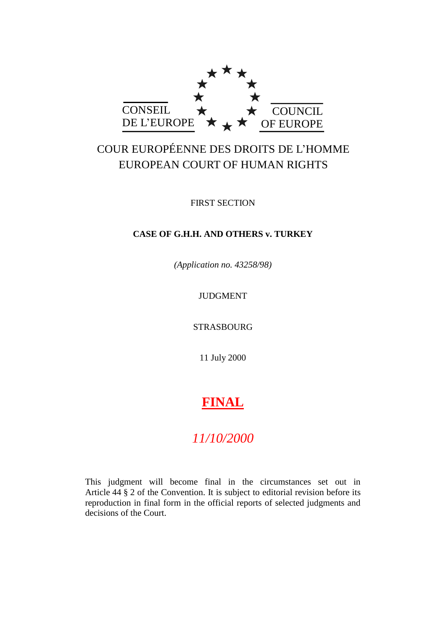

## COUR EUROPÉENNE DES DROITS DE L'HOMME EUROPEAN COURT OF HUMAN RIGHTS

FIRST SECTION

### **CASE OF G.H.H. AND OTHERS v. TURKEY**

*(Application no. 43258/98)*

JUDGMENT

STRASBOURG

11 July 2000

# **FINAL**

## *11/10/2000*

This judgment will become final in the circumstances set out in Article 44 § 2 of the Convention. It is subject to editorial revision before its reproduction in final form in the official reports of selected judgments and decisions of the Court.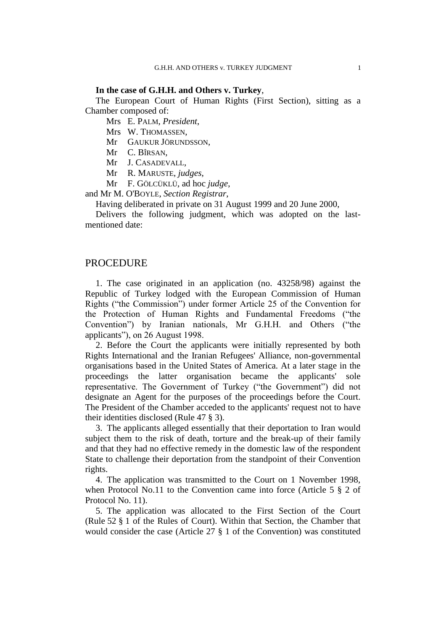#### **In the case of G.H.H. and Others v. Turkey**,

The European Court of Human Rights (First Section), sitting as a Chamber composed of:

Mrs E. PALM, *President*,

Mrs W. THOMASSEN,

Mr GAUKUR JÖRUNDSSON,

Mr C. BÎRSAN,

Mr J. CASADEVALL,

Mr R. MARUSTE, *judges*,

Mr F. GÖLCÜKLÜ, ad hoc *judge*,

and Mr M. O'BOYLE, *Section Registrar*,

Having deliberated in private on 31 August 1999 and 20 June 2000,

Delivers the following judgment, which was adopted on the lastmentioned date:

#### **PROCEDURE**

1. The case originated in an application (no. 43258/98) against the Republic of Turkey lodged with the European Commission of Human Rights ("the Commission") under former Article 25 of the Convention for the Protection of Human Rights and Fundamental Freedoms ("the Convention") by Iranian nationals, Mr G.H.H. and Others ("the applicants"), on 26 August 1998.

2. Before the Court the applicants were initially represented by both Rights International and the Iranian Refugees' Alliance, non-governmental organisations based in the United States of America. At a later stage in the proceedings the latter organisation became the applicants' sole representative. The Government of Turkey ("the Government") did not designate an Agent for the purposes of the proceedings before the Court. The President of the Chamber acceded to the applicants' request not to have their identities disclosed (Rule 47 § 3).

3. The applicants alleged essentially that their deportation to Iran would subject them to the risk of death, torture and the break-up of their family and that they had no effective remedy in the domestic law of the respondent State to challenge their deportation from the standpoint of their Convention rights.

4. The application was transmitted to the Court on 1 November 1998, when Protocol No.11 to the Convention came into force (Article 5  $\S$  2 of Protocol No. 11).

5. The application was allocated to the First Section of the Court (Rule 52 § 1 of the Rules of Court). Within that Section, the Chamber that would consider the case (Article 27 § 1 of the Convention) was constituted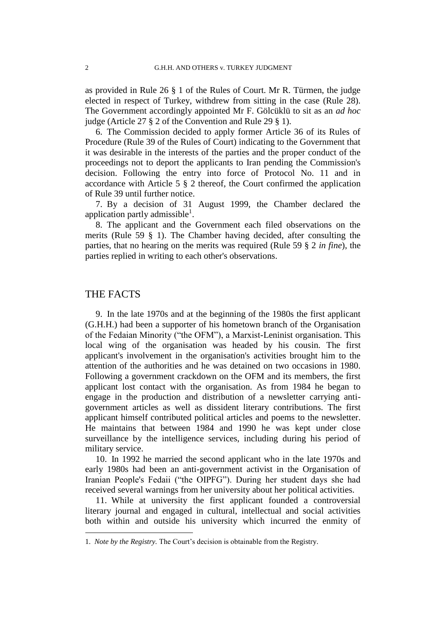as provided in Rule 26 § 1 of the Rules of Court. Mr R. Türmen, the judge elected in respect of Turkey, withdrew from sitting in the case (Rule 28). The Government accordingly appointed Mr F. Gölcüklü to sit as an *ad hoc* judge (Article 27 § 2 of the Convention and Rule 29 § 1).

6. The Commission decided to apply former Article 36 of its Rules of Procedure (Rule 39 of the Rules of Court) indicating to the Government that it was desirable in the interests of the parties and the proper conduct of the proceedings not to deport the applicants to Iran pending the Commission's decision. Following the entry into force of Protocol No. 11 and in accordance with Article 5 § 2 thereof, the Court confirmed the application of Rule 39 until further notice.

7. By a decision of 31 August 1999, the Chamber declared the application partly admissible $^1$ .

8. The applicant and the Government each filed observations on the merits (Rule 59 § 1). The Chamber having decided, after consulting the parties, that no hearing on the merits was required (Rule 59 § 2 *in fine*), the parties replied in writing to each other's observations.

#### THE FACTS

1

9. In the late 1970s and at the beginning of the 1980s the first applicant (G.H.H.) had been a supporter of his hometown branch of the Organisation of the Fedaian Minority ("the OFM"), a Marxist-Leninist organisation. This local wing of the organisation was headed by his cousin. The first applicant's involvement in the organisation's activities brought him to the attention of the authorities and he was detained on two occasions in 1980. Following a government crackdown on the OFM and its members, the first applicant lost contact with the organisation. As from 1984 he began to engage in the production and distribution of a newsletter carrying antigovernment articles as well as dissident literary contributions. The first applicant himself contributed political articles and poems to the newsletter. He maintains that between 1984 and 1990 he was kept under close surveillance by the intelligence services, including during his period of military service.

10. In 1992 he married the second applicant who in the late 1970s and early 1980s had been an anti-government activist in the Organisation of Iranian People's Fedaii ("the OIPFG"). During her student days she had received several warnings from her university about her political activities.

11. While at university the first applicant founded a controversial literary journal and engaged in cultural, intellectual and social activities both within and outside his university which incurred the enmity of

<sup>1.</sup> *Note by the Registry.* The Court's decision is obtainable from the Registry.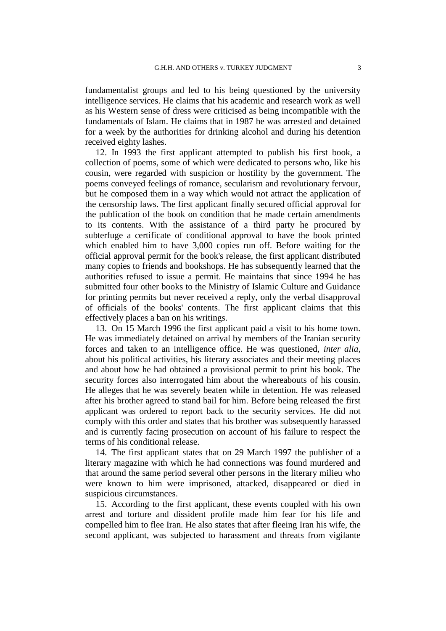fundamentalist groups and led to his being questioned by the university intelligence services. He claims that his academic and research work as well as his Western sense of dress were criticised as being incompatible with the fundamentals of Islam. He claims that in 1987 he was arrested and detained for a week by the authorities for drinking alcohol and during his detention received eighty lashes.

12. In 1993 the first applicant attempted to publish his first book, a collection of poems, some of which were dedicated to persons who, like his cousin, were regarded with suspicion or hostility by the government. The poems conveyed feelings of romance, secularism and revolutionary fervour, but he composed them in a way which would not attract the application of the censorship laws. The first applicant finally secured official approval for the publication of the book on condition that he made certain amendments to its contents. With the assistance of a third party he procured by subterfuge a certificate of conditional approval to have the book printed which enabled him to have 3,000 copies run off. Before waiting for the official approval permit for the book's release, the first applicant distributed many copies to friends and bookshops. He has subsequently learned that the authorities refused to issue a permit. He maintains that since 1994 he has submitted four other books to the Ministry of Islamic Culture and Guidance for printing permits but never received a reply, only the verbal disapproval of officials of the books' contents. The first applicant claims that this effectively places a ban on his writings.

13. On 15 March 1996 the first applicant paid a visit to his home town. He was immediately detained on arrival by members of the Iranian security forces and taken to an intelligence office. He was questioned, *inter alia*, about his political activities, his literary associates and their meeting places and about how he had obtained a provisional permit to print his book. The security forces also interrogated him about the whereabouts of his cousin. He alleges that he was severely beaten while in detention. He was released after his brother agreed to stand bail for him. Before being released the first applicant was ordered to report back to the security services. He did not comply with this order and states that his brother was subsequently harassed and is currently facing prosecution on account of his failure to respect the terms of his conditional release.

14. The first applicant states that on 29 March 1997 the publisher of a literary magazine with which he had connections was found murdered and that around the same period several other persons in the literary milieu who were known to him were imprisoned, attacked, disappeared or died in suspicious circumstances.

15. According to the first applicant, these events coupled with his own arrest and torture and dissident profile made him fear for his life and compelled him to flee Iran. He also states that after fleeing Iran his wife, the second applicant, was subjected to harassment and threats from vigilante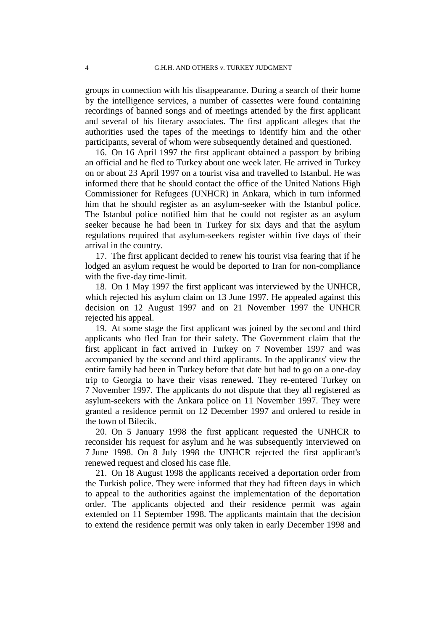groups in connection with his disappearance. During a search of their home by the intelligence services, a number of cassettes were found containing recordings of banned songs and of meetings attended by the first applicant and several of his literary associates. The first applicant alleges that the authorities used the tapes of the meetings to identify him and the other participants, several of whom were subsequently detained and questioned.

16. On 16 April 1997 the first applicant obtained a passport by bribing an official and he fled to Turkey about one week later. He arrived in Turkey on or about 23 April 1997 on a tourist visa and travelled to Istanbul. He was informed there that he should contact the office of the United Nations High Commissioner for Refugees (UNHCR) in Ankara, which in turn informed him that he should register as an asylum-seeker with the Istanbul police. The Istanbul police notified him that he could not register as an asylum seeker because he had been in Turkey for six days and that the asylum regulations required that asylum-seekers register within five days of their arrival in the country.

17. The first applicant decided to renew his tourist visa fearing that if he lodged an asylum request he would be deported to Iran for non-compliance with the five-day time-limit.

18. On 1 May 1997 the first applicant was interviewed by the UNHCR, which rejected his asylum claim on 13 June 1997. He appealed against this decision on 12 August 1997 and on 21 November 1997 the UNHCR rejected his appeal.

19. At some stage the first applicant was joined by the second and third applicants who fled Iran for their safety. The Government claim that the first applicant in fact arrived in Turkey on 7 November 1997 and was accompanied by the second and third applicants. In the applicants' view the entire family had been in Turkey before that date but had to go on a one-day trip to Georgia to have their visas renewed. They re-entered Turkey on 7 November 1997. The applicants do not dispute that they all registered as asylum-seekers with the Ankara police on 11 November 1997. They were granted a residence permit on 12 December 1997 and ordered to reside in the town of Bilecik.

20. On 5 January 1998 the first applicant requested the UNHCR to reconsider his request for asylum and he was subsequently interviewed on 7 June 1998. On 8 July 1998 the UNHCR rejected the first applicant's renewed request and closed his case file.

21. On 18 August 1998 the applicants received a deportation order from the Turkish police. They were informed that they had fifteen days in which to appeal to the authorities against the implementation of the deportation order. The applicants objected and their residence permit was again extended on 11 September 1998. The applicants maintain that the decision to extend the residence permit was only taken in early December 1998 and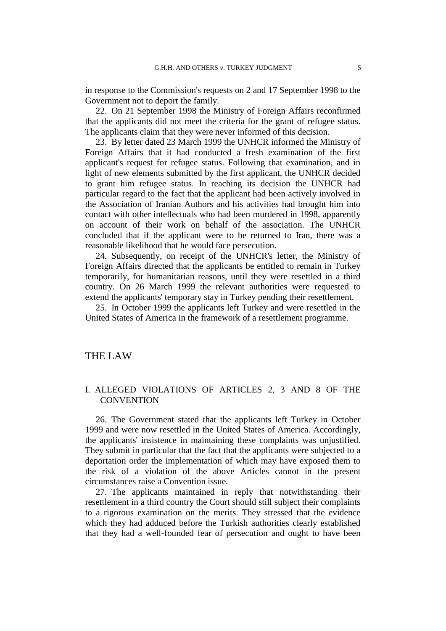in response to the Commission's requests on 2 and 17 September 1998 to the Government not to deport the family.

22. On 21 September 1998 the Ministry of Foreign Affairs reconfirmed that the applicants did not meet the criteria for the grant of refugee status. The applicants claim that they were never informed of this decision.

23. By letter dated 23 March 1999 the UNHCR informed the Ministry of Foreign Affairs that it had conducted a fresh examination of the first applicant's request for refugee status. Following that examination, and in light of new elements submitted by the first applicant, the UNHCR decided to grant him refugee status. In reaching its decision the UNHCR had particular regard to the fact that the applicant had been actively involved in the Association of Iranian Authors and his activities had brought him into contact with other intellectuals who had been murdered in 1998, apparently on account of their work on behalf of the association. The UNHCR concluded that if the applicant were to be returned to Iran, there was a reasonable likelihood that he would face persecution.

24. Subsequently, on receipt of the UNHCR's letter, the Ministry of Foreign Affairs directed that the applicants be entitled to remain in Turkey temporarily, for humanitarian reasons, until they were resettled in a third country. On 26 March 1999 the relevant authorities were requested to extend the applicants' temporary stay in Turkey pending their resettlement.

25. In October 1999 the applicants left Turkey and were resettled in the United States of America in the framework of a resettlement programme.

#### THE LAW

#### I. ALLEGED VIOLATIONS OF ARTICLES 2, 3 AND 8 OF THE **CONVENTION**

26. The Government stated that the applicants left Turkey in October 1999 and were now resettled in the United States of America. Accordingly, the applicants' insistence in maintaining these complaints was unjustified. They submit in particular that the fact that the applicants were subjected to a deportation order the implementation of which may have exposed them to the risk of a violation of the above Articles cannot in the present circumstances raise a Convention issue.

27. The applicants maintained in reply that notwithstanding their resettlement in a third country the Court should still subject their complaints to a rigorous examination on the merits. They stressed that the evidence which they had adduced before the Turkish authorities clearly established that they had a well-founded fear of persecution and ought to have been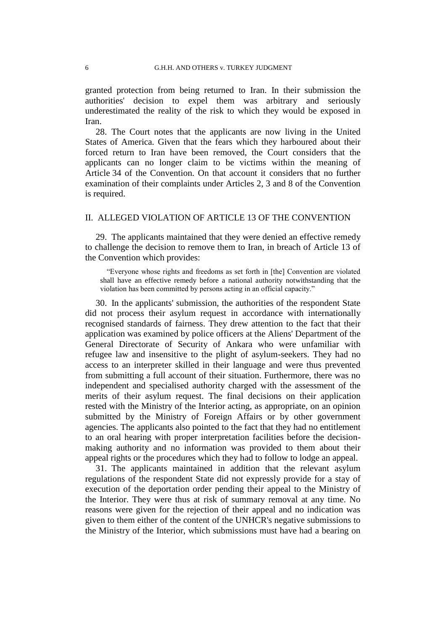granted protection from being returned to Iran. In their submission the authorities' decision to expel them was arbitrary and seriously underestimated the reality of the risk to which they would be exposed in Iran.

28. The Court notes that the applicants are now living in the United States of America. Given that the fears which they harboured about their forced return to Iran have been removed, the Court considers that the applicants can no longer claim to be victims within the meaning of Article 34 of the Convention. On that account it considers that no further examination of their complaints under Articles 2, 3 and 8 of the Convention is required.

#### II. ALLEGED VIOLATION OF ARTICLE 13 OF THE CONVENTION

29. The applicants maintained that they were denied an effective remedy to challenge the decision to remove them to Iran, in breach of Article 13 of the Convention which provides:

"Everyone whose rights and freedoms as set forth in [the] Convention are violated shall have an effective remedy before a national authority notwithstanding that the violation has been committed by persons acting in an official capacity."

30. In the applicants' submission, the authorities of the respondent State did not process their asylum request in accordance with internationally recognised standards of fairness. They drew attention to the fact that their application was examined by police officers at the Aliens' Department of the General Directorate of Security of Ankara who were unfamiliar with refugee law and insensitive to the plight of asylum-seekers. They had no access to an interpreter skilled in their language and were thus prevented from submitting a full account of their situation. Furthermore, there was no independent and specialised authority charged with the assessment of the merits of their asylum request. The final decisions on their application rested with the Ministry of the Interior acting, as appropriate, on an opinion submitted by the Ministry of Foreign Affairs or by other government agencies. The applicants also pointed to the fact that they had no entitlement to an oral hearing with proper interpretation facilities before the decisionmaking authority and no information was provided to them about their appeal rights or the procedures which they had to follow to lodge an appeal.

31. The applicants maintained in addition that the relevant asylum regulations of the respondent State did not expressly provide for a stay of execution of the deportation order pending their appeal to the Ministry of the Interior. They were thus at risk of summary removal at any time. No reasons were given for the rejection of their appeal and no indication was given to them either of the content of the UNHCR's negative submissions to the Ministry of the Interior, which submissions must have had a bearing on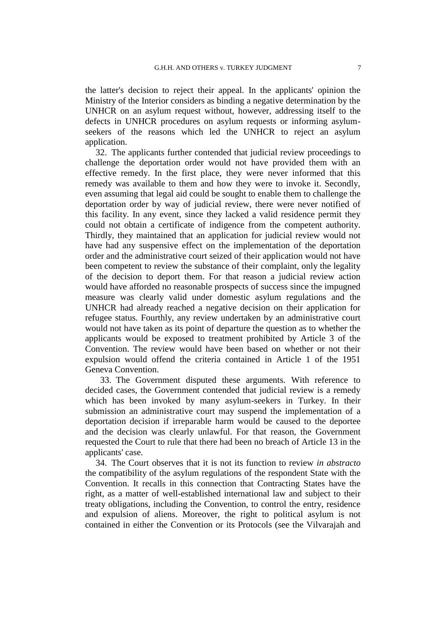the latter's decision to reject their appeal. In the applicants' opinion the Ministry of the Interior considers as binding a negative determination by the UNHCR on an asylum request without, however, addressing itself to the defects in UNHCR procedures on asylum requests or informing asylumseekers of the reasons which led the UNHCR to reject an asylum application.

32. The applicants further contended that judicial review proceedings to challenge the deportation order would not have provided them with an effective remedy. In the first place, they were never informed that this remedy was available to them and how they were to invoke it. Secondly, even assuming that legal aid could be sought to enable them to challenge the deportation order by way of judicial review, there were never notified of this facility. In any event, since they lacked a valid residence permit they could not obtain a certificate of indigence from the competent authority. Thirdly, they maintained that an application for judicial review would not have had any suspensive effect on the implementation of the deportation order and the administrative court seized of their application would not have been competent to review the substance of their complaint, only the legality of the decision to deport them. For that reason a judicial review action would have afforded no reasonable prospects of success since the impugned measure was clearly valid under domestic asylum regulations and the UNHCR had already reached a negative decision on their application for refugee status. Fourthly, any review undertaken by an administrative court would not have taken as its point of departure the question as to whether the applicants would be exposed to treatment prohibited by Article 3 of the Convention. The review would have been based on whether or not their expulsion would offend the criteria contained in Article 1 of the 1951 Geneva Convention.

33. The Government disputed these arguments. With reference to decided cases, the Government contended that judicial review is a remedy which has been invoked by many asylum-seekers in Turkey. In their submission an administrative court may suspend the implementation of a deportation decision if irreparable harm would be caused to the deportee and the decision was clearly unlawful. For that reason, the Government requested the Court to rule that there had been no breach of Article 13 in the applicants' case.

34. The Court observes that it is not its function to review *in abstracto* the compatibility of the asylum regulations of the respondent State with the Convention. It recalls in this connection that Contracting States have the right, as a matter of well-established international law and subject to their treaty obligations, including the Convention, to control the entry, residence and expulsion of aliens. Moreover, the right to political asylum is not contained in either the Convention or its Protocols (see the Vilvarajah and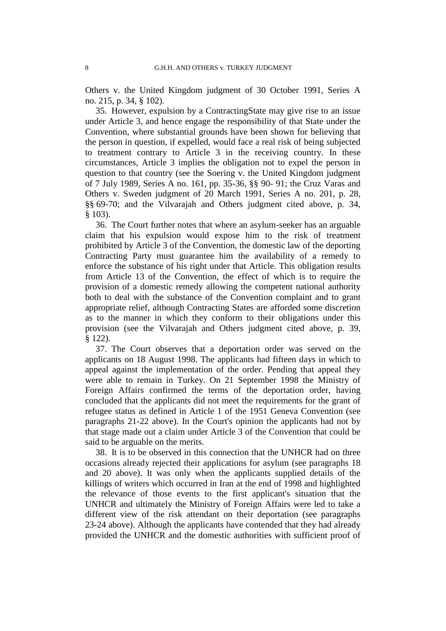Others v. the United Kingdom judgment of 30 October 1991, Series A no. 215, p. 34, § 102).

35. However, expulsion by a ContractingState may give rise to an issue under Article 3, and hence engage the responsibility of that State under the Convention, where substantial grounds have been shown for believing that the person in question, if expelled, would face a real risk of being subjected to treatment contrary to Article 3 in the receiving country. In these circumstances, Article 3 implies the obligation not to expel the person in question to that country (see the Soering v. the United Kingdom judgment of 7 July 1989, Series A no. 161, pp. 35-36, §§ 90- 91; the Cruz Varas and Others v. Sweden judgment of 20 March 1991, Series A no. 201, p. 28, §§ 69-70; and the Vilvarajah and Others judgment cited above, p. 34, § 103).

36. The Court further notes that where an asylum-seeker has an arguable claim that his expulsion would expose him to the risk of treatment prohibited by Article 3 of the Convention, the domestic law of the deporting Contracting Party must guarantee him the availability of a remedy to enforce the substance of his right under that Article. This obligation results from Article 13 of the Convention, the effect of which is to require the provision of a domestic remedy allowing the competent national authority both to deal with the substance of the Convention complaint and to grant appropriate relief, although Contracting States are afforded some discretion as to the manner in which they conform to their obligations under this provision (see the Vilvarajah and Others judgment cited above, p. 39, § 122).

37. The Court observes that a deportation order was served on the applicants on 18 August 1998. The applicants had fifteen days in which to appeal against the implementation of the order. Pending that appeal they were able to remain in Turkey. On 21 September 1998 the Ministry of Foreign Affairs confirmed the terms of the deportation order, having concluded that the applicants did not meet the requirements for the grant of refugee status as defined in Article 1 of the 1951 Geneva Convention (see paragraphs 21-22 above). In the Court's opinion the applicants had not by that stage made out a claim under Article 3 of the Convention that could be said to be arguable on the merits.

38. It is to be observed in this connection that the UNHCR had on three occasions already rejected their applications for asylum (see paragraphs 18 and 20 above). It was only when the applicants supplied details of the killings of writers which occurred in Iran at the end of 1998 and highlighted the relevance of those events to the first applicant's situation that the UNHCR and ultimately the Ministry of Foreign Affairs were led to take a different view of the risk attendant on their deportation (see paragraphs 23-24 above). Although the applicants have contended that they had already provided the UNHCR and the domestic authorities with sufficient proof of